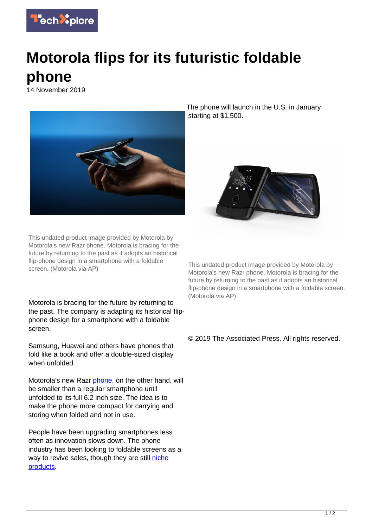

## **Motorola flips for its futuristic foldable phone**

14 November 2019



This undated product image provided by Motorola by Motorola's new Razr phone. Motorola is bracing for the future by returning to the past as it adopts an historical flip-phone design in a smartphone with a foldable screen. (Motorola via AP)

Motorola is bracing for the future by returning to the past. The company is adapting its historical flipphone design for a smartphone with a foldable screen.

Samsung, Huawei and others have phones that fold like a book and offer a double-sized display when unfolded.

Motorola's new Razr [phone,](https://techxplore.com/tags/phone/) on the other hand, will be smaller than a regular smartphone until unfolded to its full 6.2 inch size. The idea is to make the phone more compact for carrying and storing when folded and not in use.

People have been upgrading smartphones less often as innovation slows down. The phone industry has been looking to foldable screens as a way to revive sales, though they are still [niche](https://techxplore.com/tags/niche+products/) [products.](https://techxplore.com/tags/niche+products/)

The phone will launch in the U.S. in January starting at \$1,500.



This undated product image provided by Motorola by Motorola's new Razr phone. Motorola is bracing for the future by returning to the past as it adopts an historical flip-phone design in a smartphone with a foldable screen. (Motorola via AP)

## © 2019 The Associated Press. All rights reserved.